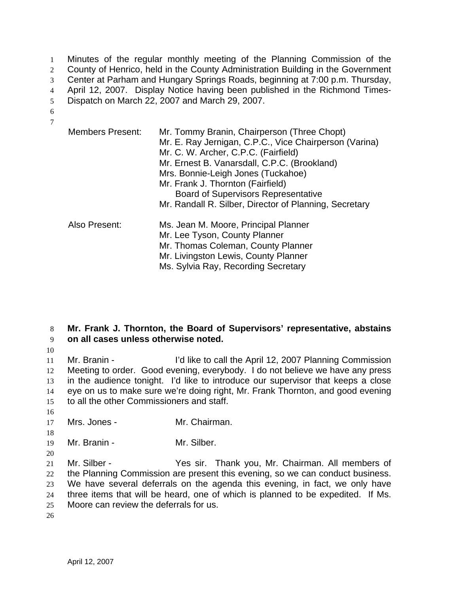Minutes of the regular monthly meeting of the Planning Commission of the 2 County of Henrico, held in the County Administration Building in the Government Center at Parham and Hungary Springs Roads, beginning at 7:00 p.m. Thursday, April 12, 2007. Display Notice having been published in the Richmond Times-Dispatch on March 22, 2007 and March 29, 2007. 6

7

| <b>Members Present:</b> | Mr. Tommy Branin, Chairperson (Three Chopt)<br>Mr. E. Ray Jernigan, C.P.C., Vice Chairperson (Varina)<br>Mr. C. W. Archer, C.P.C. (Fairfield)<br>Mr. Ernest B. Vanarsdall, C.P.C. (Brookland)<br>Mrs. Bonnie-Leigh Jones (Tuckahoe)<br>Mr. Frank J. Thornton (Fairfield)<br><b>Board of Supervisors Representative</b><br>Mr. Randall R. Silber, Director of Planning, Secretary |
|-------------------------|----------------------------------------------------------------------------------------------------------------------------------------------------------------------------------------------------------------------------------------------------------------------------------------------------------------------------------------------------------------------------------|
| Also Present:           | Ms. Jean M. Moore, Principal Planner<br>Mr. Lee Tyson, County Planner<br>Mr. Thomas Coleman, County Planner<br>Mr. Livingston Lewis, County Planner<br>Ms. Sylvia Ray, Recording Secretary                                                                                                                                                                                       |

## 8 **Mr. Frank J. Thornton, the Board of Supervisors' representative, abstains**  9 **on all cases unless otherwise noted.**

10

Mr. Branin - I'd like to call the April 12, 2007 Planning Commission Meeting to order. Good evening, everybody. I do not believe we have any press in the audience tonight. I'd like to introduce our supervisor that keeps a close eye on us to make sure we're doing right, Mr. Frank Thornton, and good evening to all the other Commissioners and staff.

- 16
- 17 Mrs. Jones Mr. Chairman.
- 18

20

19 Mr. Branin - Mr. Silber.

Mr. Silber - Yes sir. Thank you, Mr. Chairman. All members of the Planning Commission are present this evening, so we can conduct business. We have several deferrals on the agenda this evening, in fact, we only have three items that will be heard, one of which is planned to be expedited. If Ms. Moore can review the deferrals for us.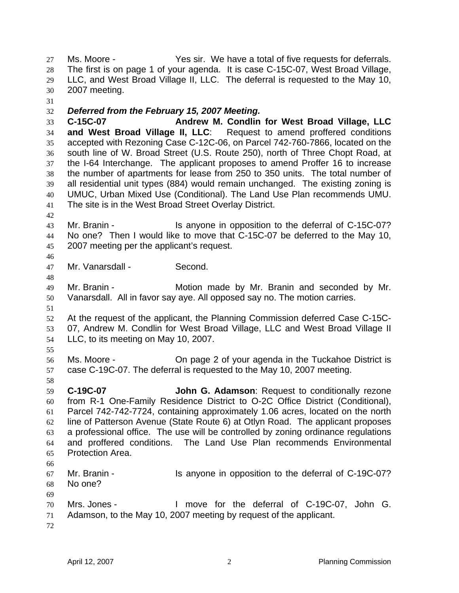Ms. Moore - Yes sir. We have a total of five requests for deferrals. The first is on page 1 of your agenda. It is case C-15C-07, West Broad Village, LLC, and West Broad Village II, LLC. The deferral is requested to the May 10, 2007 meeting.

## *Deferred from the February 15, 2007 Meeting.*

**C-15C-07 Andrew M. Condlin for West Broad Village, LLC and West Broad Village II, LLC**: Request to amend proffered conditions accepted with Rezoning Case C-12C-06, on Parcel 742-760-7866, located on the south line of W. Broad Street (U.S. Route 250), north of Three Chopt Road, at the I-64 Interchange. The applicant proposes to amend Proffer 16 to increase the number of apartments for lease from 250 to 350 units. The total number of all residential unit types (884) would remain unchanged. The existing zoning is UMUC, Urban Mixed Use (Conditional). The Land Use Plan recommends UMU. The site is in the West Broad Street Overlay District.

- Mr. Branin - Is anyone in opposition to the deferral of C-15C-07? No one? Then I would like to move that C-15C-07 be deferred to the May 10, 2007 meeting per the applicant's request.
- Mr. Vanarsdall - Second.
- Mr. Branin Motion made by Mr. Branin and seconded by Mr. Vanarsdall. All in favor say aye. All opposed say no. The motion carries.
- At the request of the applicant, the Planning Commission deferred Case C-15C-07, Andrew M. Condlin for West Broad Village, LLC and West Broad Village II LLC, to its meeting on May 10, 2007.
- 

- Ms. Moore On page 2 of your agenda in the Tuckahoe District is case C-19C-07. The deferral is requested to the May 10, 2007 meeting.
- **C-19C-07 John G. Adamson**: Request to conditionally rezone from R-1 One-Family Residence District to O-2C Office District (Conditional), Parcel 742-742-7724, containing approximately 1.06 acres, located on the north line of Patterson Avenue (State Route 6) at Otlyn Road. The applicant proposes a professional office. The use will be controlled by zoning ordinance regulations and proffered conditions. The Land Use Plan recommends Environmental Protection Area.
- 
- Mr. Branin Is anyone in opposition to the deferral of C-19C-07? No one?
- 
- Mrs. Jones I move for the deferral of C-19C-07, John G. Adamson, to the May 10, 2007 meeting by request of the applicant.
-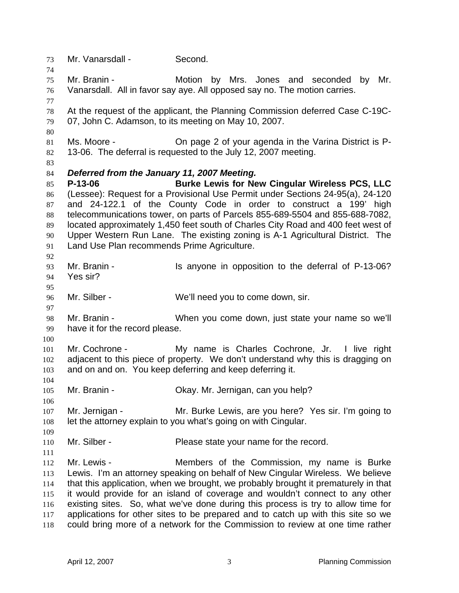Mr. Vanarsdall - Second. Mr. Branin - Motion by Mrs. Jones and seconded by Mr. Vanarsdall. All in favor say aye. All opposed say no. The motion carries. At the request of the applicant, the Planning Commission deferred Case C-19C-07, John C. Adamson, to its meeting on May 10, 2007. Ms. Moore - On page 2 of your agenda in the Varina District is P-13-06. The deferral is requested to the July 12, 2007 meeting. *Deferred from the January 11, 2007 Meeting.*  **P-13-06 Burke Lewis for New Cingular Wireless PCS, LLC** (Lessee): Request for a Provisional Use Permit under Sections 24-95(a), 24-120 and 24-122.1 of the County Code in order to construct a 199' high telecommunications tower, on parts of Parcels 855-689-5504 and 855-688-7082, located approximately 1,450 feet south of Charles City Road and 400 feet west of Upper Western Run Lane. The existing zoning is A-1 Agricultural District. The Land Use Plan recommends Prime Agriculture. Mr. Branin - Is anyone in opposition to the deferral of P-13-06? Yes sir? 96 Mr. Silber - We'll need you to come down, sir. Mr. Branin - When you come down, just state your name so we'll have it for the record please. Mr. Cochrone - My name is Charles Cochrone, Jr. I live right adjacent to this piece of property. We don't understand why this is dragging on and on and on. You keep deferring and keep deferring it. Mr. Branin - Okay. Mr. Jernigan, can you help? 107 Mr. Jernigan - Mr. Burke Lewis, are you here? Yes sir. I'm going to let the attorney explain to you what's going on with Cingular. 110 Mr. Silber - Please state your name for the record. Mr. Lewis - Members of the Commission, my name is Burke Lewis. I'm an attorney speaking on behalf of New Cingular Wireless. We believe that this application, when we brought, we probably brought it prematurely in that it would provide for an island of coverage and wouldn't connect to any other existing sites. So, what we've done during this process is try to allow time for applications for other sites to be prepared and to catch up with this site so we could bring more of a network for the Commission to review at one time rather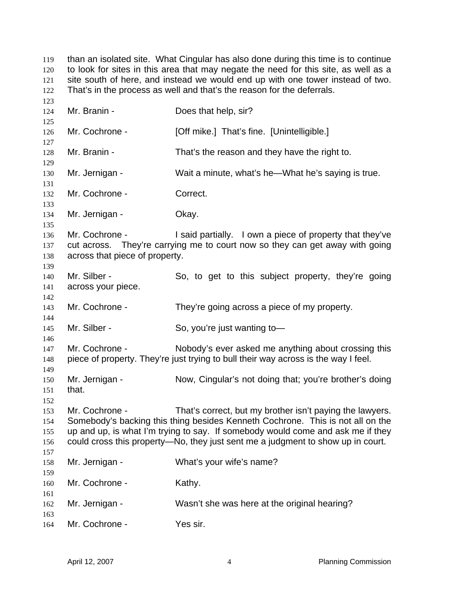than an isolated site. What Cingular has also done during this time is to continue to look for sites in this area that may negate the need for this site, as well as a site south of here, and instead we would end up with one tower instead of two. 122 That's in the process as well and that's the reason for the deferrals. 

| 124<br>125               | Mr. Branin -                                                                                                                                                                                 | Does that help, sir?                                                                                                                                                                                                                                                                                             |  |
|--------------------------|----------------------------------------------------------------------------------------------------------------------------------------------------------------------------------------------|------------------------------------------------------------------------------------------------------------------------------------------------------------------------------------------------------------------------------------------------------------------------------------------------------------------|--|
| 126<br>127               | Mr. Cochrone -                                                                                                                                                                               | [Off mike.] That's fine. [Unintelligible.]                                                                                                                                                                                                                                                                       |  |
| 128<br>129               | Mr. Branin -                                                                                                                                                                                 | That's the reason and they have the right to.                                                                                                                                                                                                                                                                    |  |
| 130<br>131               | Mr. Jernigan -                                                                                                                                                                               | Wait a minute, what's he—What he's saying is true.                                                                                                                                                                                                                                                               |  |
| 132<br>133               | Mr. Cochrone -                                                                                                                                                                               | Correct.                                                                                                                                                                                                                                                                                                         |  |
| 134<br>135               | Mr. Jernigan -                                                                                                                                                                               | Okay.                                                                                                                                                                                                                                                                                                            |  |
| 136<br>137<br>138<br>139 | Mr. Cochrone -<br>I said partially. I own a piece of property that they've<br>cut across. They're carrying me to court now so they can get away with going<br>across that piece of property. |                                                                                                                                                                                                                                                                                                                  |  |
| 140<br>141<br>142        | Mr. Silber -<br>across your piece.                                                                                                                                                           | So, to get to this subject property, they're going                                                                                                                                                                                                                                                               |  |
| 143<br>144               | Mr. Cochrone -                                                                                                                                                                               | They're going across a piece of my property.                                                                                                                                                                                                                                                                     |  |
| 145<br>146               | Mr. Silber -                                                                                                                                                                                 | So, you're just wanting to-                                                                                                                                                                                                                                                                                      |  |
| 147<br>148<br>149        | Mr. Cochrone -                                                                                                                                                                               | Nobody's ever asked me anything about crossing this<br>piece of property. They're just trying to bull their way across is the way I feel.                                                                                                                                                                        |  |
| 150<br>151<br>152        | Mr. Jernigan -<br>that.                                                                                                                                                                      | Now, Cingular's not doing that; you're brother's doing                                                                                                                                                                                                                                                           |  |
| 153<br>154<br>155<br>156 | Mr. Cochrone -                                                                                                                                                                               | That's correct, but my brother isn't paying the lawyers.<br>Somebody's backing this thing besides Kenneth Cochrone. This is not all on the<br>up and up, is what I'm trying to say. If somebody would come and ask me if they<br>could cross this property-No, they just sent me a judgment to show up in court. |  |
| 157<br>158<br>159        | Mr. Jernigan -                                                                                                                                                                               | What's your wife's name?                                                                                                                                                                                                                                                                                         |  |
| 160<br>161               | Mr. Cochrone -                                                                                                                                                                               | Kathy.                                                                                                                                                                                                                                                                                                           |  |
| 162<br>163               | Mr. Jernigan -                                                                                                                                                                               | Wasn't she was here at the original hearing?                                                                                                                                                                                                                                                                     |  |
| 164                      | Mr. Cochrone -                                                                                                                                                                               | Yes sir.                                                                                                                                                                                                                                                                                                         |  |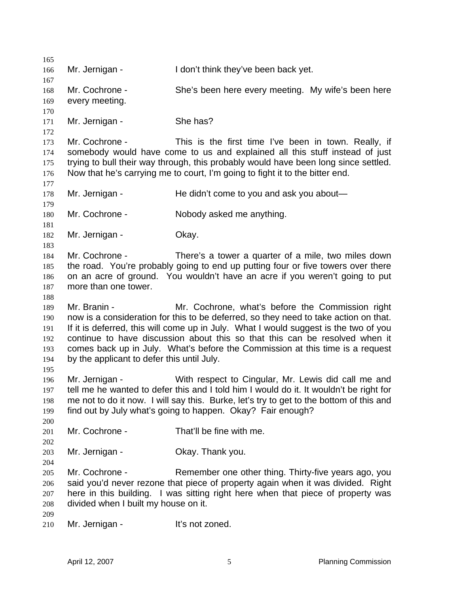166 Mr. Jernigan - I don't think they've been back yet. 168 Mr. Cochrone - She's been here every meeting. My wife's been here every meeting. 171 Mr. Jernigan - She has? Mr. Cochrone - This is the first time I've been in town. Really, if somebody would have come to us and explained all this stuff instead of just trying to bull their way through, this probably would have been long since settled. Now that he's carrying me to court, I'm going to fight it to the bitter end. 178 Mr. Jernigan - He didn't come to you and ask you about— Mr. Cochrone - Nobody asked me anything. 182 Mr. Jernigan - Okay. Mr. Cochrone - There's a tower a quarter of a mile, two miles down the road. You're probably going to end up putting four or five towers over there on an acre of ground. You wouldn't have an acre if you weren't going to put more than one tower. Mr. Branin - Mr. Cochrone, what's before the Commission right now is a consideration for this to be deferred, so they need to take action on that. If it is deferred, this will come up in July. What I would suggest is the two of you continue to have discussion about this so that this can be resolved when it comes back up in July. What's before the Commission at this time is a request by the applicant to defer this until July. Mr. Jernigan - With respect to Cingular, Mr. Lewis did call me and tell me he wanted to defer this and I told him I would do it. It wouldn't be right for me not to do it now. I will say this. Burke, let's try to get to the bottom of this and find out by July what's going to happen. Okay? Fair enough? Mr. Cochrone - That'll be fine with me. Mr. Jernigan - Okay. Thank you. Mr. Cochrone - Remember one other thing. Thirty-five years ago, you said you'd never rezone that piece of property again when it was divided. Right here in this building. I was sitting right here when that piece of property was divided when I built my house on it. 210 Mr. Jernigan - It's not zoned.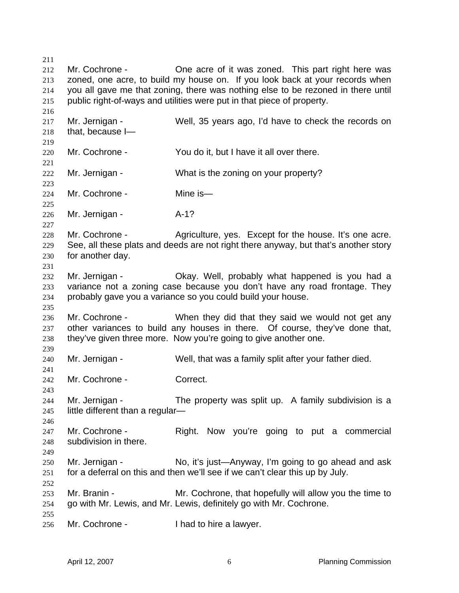212 Mr. Cochrone - **One acre of it was zoned.** This part right here was zoned, one acre, to build my house on. If you look back at your records when you all gave me that zoning, there was nothing else to be rezoned in there until public right-of-ways and utilities were put in that piece of property. Mr. Jernigan - Well, 35 years ago, I'd have to check the records on that, because I— Mr. Cochrone - You do it, but I have it all over there. 222 Mr. Jernigan - What is the zoning on your property? Mr. Cochrone - Mine is— Mr. Jernigan - A-1? Mr. Cochrone - Agriculture, yes. Except for the house. It's one acre. See, all these plats and deeds are not right there anyway, but that's another story for another day. Mr. Jernigan - Okay. Well, probably what happened is you had a variance not a zoning case because you don't have any road frontage. They probably gave you a variance so you could build your house. Mr. Cochrone - When they did that they said we would not get any other variances to build any houses in there. Of course, they've done that, they've given three more. Now you're going to give another one. Mr. Jernigan - Well, that was a family split after your father died. Mr. Cochrone - Correct. 244 Mr. Jernigan - The property was split up. A family subdivision is a little different than a regular— 247 Mr. Cochrone - Right. Now you're going to put a commercial subdivision in there. Mr. Jernigan - No, it's just—Anyway, I'm going to go ahead and ask for a deferral on this and then we'll see if we can't clear this up by July. Mr. Branin - Mr. Cochrone, that hopefully will allow you the time to go with Mr. Lewis, and Mr. Lewis, definitely go with Mr. Cochrone. Mr. Cochrone - I had to hire a lawyer.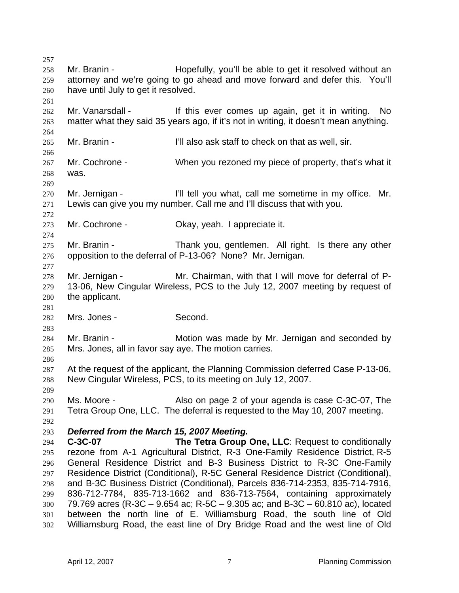Mr. Branin - Hopefully, you'll be able to get it resolved without an attorney and we're going to go ahead and move forward and defer this. You'll have until July to get it resolved. 262 Mr. Vanarsdall - If this ever comes up again, get it in writing. No matter what they said 35 years ago, if it's not in writing, it doesn't mean anything. Mr. Branin - I'll also ask staff to check on that as well, sir. Mr. Cochrone - When you rezoned my piece of property, that's what it was. Mr. Jernigan - I'll tell you what, call me sometime in my office. Mr. Lewis can give you my number. Call me and I'll discuss that with you. Mr. Cochrone - Okay, yeah. I appreciate it. 275 Mr. Branin - Thank you, gentlemen. All right. Is there any other opposition to the deferral of P-13-06? None? Mr. Jernigan. 278 Mr. Jernigan - Mr. Chairman, with that I will move for deferral of P-13-06, New Cingular Wireless, PCS to the July 12, 2007 meeting by request of the applicant. Mrs. Jones - Second. Mr. Branin - Motion was made by Mr. Jernigan and seconded by Mrs. Jones, all in favor say aye. The motion carries. At the request of the applicant, the Planning Commission deferred Case P-13-06, New Cingular Wireless, PCS, to its meeting on July 12, 2007. Ms. Moore - Also on page 2 of your agenda is case C-3C-07, The Tetra Group One, LLC. The deferral is requested to the May 10, 2007 meeting. *Deferred from the March 15, 2007 Meeting.*  **C-3C-07 The Tetra Group One, LLC**: Request to conditionally rezone from A-1 Agricultural District, R-3 One-Family Residence District, R-5 General Residence District and B-3 Business District to R-3C One-Family Residence District (Conditional), R-5C General Residence District (Conditional), and B-3C Business District (Conditional), Parcels 836-714-2353, 835-714-7916, 836-712-7784, 835-713-1662 and 836-713-7564, containing approximately 79.769 acres (R-3C – 9.654 ac; R-5C – 9.305 ac; and B-3C – 60.810 ac), located between the north line of E. Williamsburg Road, the south line of Old Williamsburg Road, the east line of Dry Bridge Road and the west line of Old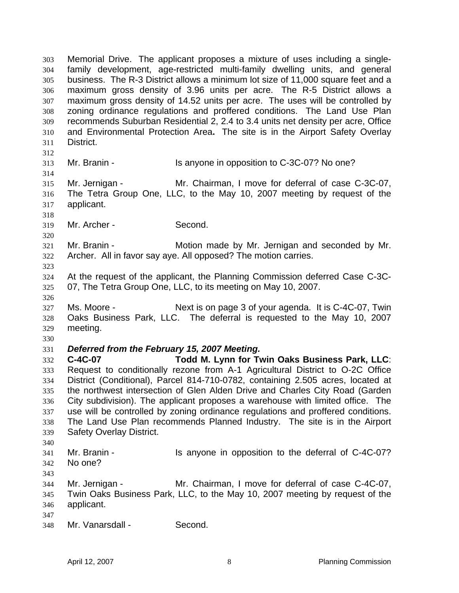Memorial Drive. The applicant proposes a mixture of uses including a single-family development, age-restricted multi-family dwelling units, and general business. The R-3 District allows a minimum lot size of 11,000 square feet and a maximum gross density of 3.96 units per acre. The R-5 District allows a maximum gross density of 14.52 units per acre. The uses will be controlled by zoning ordinance regulations and proffered conditions. The Land Use Plan recommends Suburban Residential 2, 2.4 to 3.4 units net density per acre, Office and Environmental Protection Area**.** The site is in the Airport Safety Overlay District. Mr. Branin - Is anyone in opposition to C-3C-07? No one? Mr. Jernigan - Mr. Chairman, I move for deferral of case C-3C-07, The Tetra Group One, LLC, to the May 10, 2007 meeting by request of the applicant. Mr. Archer - Second. Mr. Branin - Motion made by Mr. Jernigan and seconded by Mr. Archer. All in favor say aye. All opposed? The motion carries. At the request of the applicant, the Planning Commission deferred Case C-3C-07, The Tetra Group One, LLC, to its meeting on May 10, 2007. Ms. Moore - Next is on page 3 of your agenda. It is C-4C-07, Twin Oaks Business Park, LLC. The deferral is requested to the May 10, 2007 meeting. *Deferred from the February 15, 2007 Meeting.*  **C-4C-07 Todd M. Lynn for Twin Oaks Business Park, LLC**: Request to conditionally rezone from A-1 Agricultural District to O-2C Office District (Conditional), Parcel 814-710-0782, containing 2.505 acres, located at the northwest intersection of Glen Alden Drive and Charles City Road (Garden City subdivision). The applicant proposes a warehouse with limited office. The use will be controlled by zoning ordinance regulations and proffered conditions. The Land Use Plan recommends Planned Industry. The site is in the Airport Safety Overlay District. Mr. Branin - Is anyone in opposition to the deferral of C-4C-07? No one? Mr. Jernigan - Mr. Chairman, I move for deferral of case C-4C-07, Twin Oaks Business Park, LLC, to the May 10, 2007 meeting by request of the applicant. Mr. Vanarsdall - Second.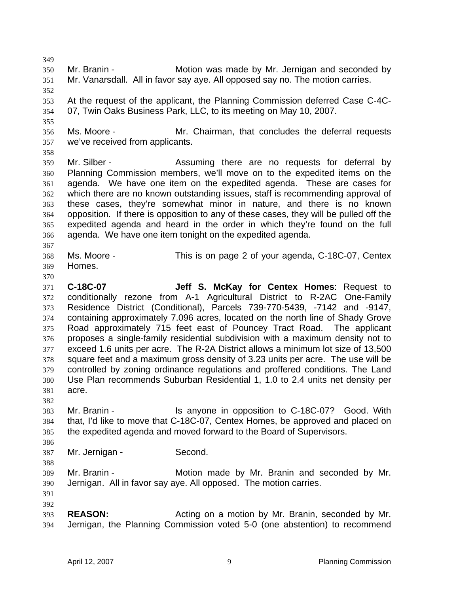Mr. Branin - Motion was made by Mr. Jernigan and seconded by Mr. Vanarsdall. All in favor say aye. All opposed say no. The motion carries. At the request of the applicant, the Planning Commission deferred Case C-4C-07, Twin Oaks Business Park, LLC, to its meeting on May 10, 2007. Ms. Moore - Mr. Chairman, that concludes the deferral requests we've received from applicants. Mr. Silber - Assuming there are no requests for deferral by Planning Commission members, we'll move on to the expedited items on the agenda. We have one item on the expedited agenda. These are cases for which there are no known outstanding issues, staff is recommending approval of these cases, they're somewhat minor in nature, and there is no known opposition. If there is opposition to any of these cases, they will be pulled off the expedited agenda and heard in the order in which they're found on the full agenda. We have one item tonight on the expedited agenda. Ms. Moore - This is on page 2 of your agenda, C-18C-07, Centex Homes. **C-18C-07 Jeff S. McKay for Centex Homes**: Request to conditionally rezone from A-1 Agricultural District to R-2AC One-Family Residence District (Conditional), Parcels 739-770-5439, -7142 and -9147, containing approximately 7.096 acres, located on the north line of Shady Grove Road approximately 715 feet east of Pouncey Tract Road. The applicant proposes a single-family residential subdivision with a maximum density not to exceed 1.6 units per acre. The R-2A District allows a minimum lot size of 13,500 square feet and a maximum gross density of 3.23 units per acre. The use will be controlled by zoning ordinance regulations and proffered conditions. The Land Use Plan recommends Suburban Residential 1, 1.0 to 2.4 units net density per acre. Mr. Branin - Is anyone in opposition to C-18C-07? Good. With that, I'd like to move that C-18C-07, Centex Homes, be approved and placed on the expedited agenda and moved forward to the Board of Supervisors. Mr. Jernigan - Second. Mr. Branin - Motion made by Mr. Branin and seconded by Mr. Jernigan. All in favor say aye. All opposed. The motion carries. **REASON:** Acting on a motion by Mr. Branin, seconded by Mr. Jernigan, the Planning Commission voted 5-0 (one abstention) to recommend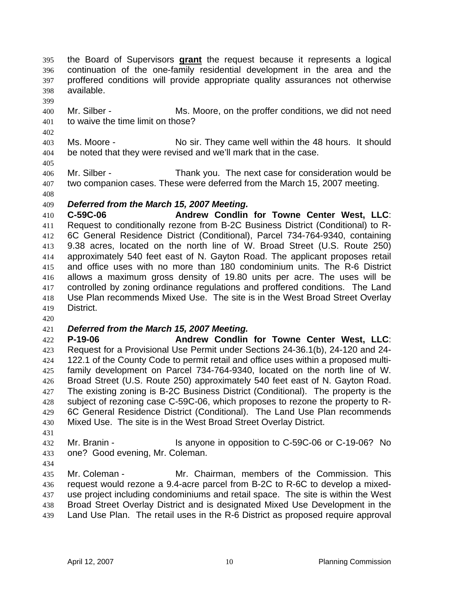the Board of Supervisors **grant** the request because it represents a logical continuation of the one-family residential development in the area and the proffered conditions will provide appropriate quality assurances not otherwise available.

- 
- Mr. Silber Ms. Moore, on the proffer conditions, we did not need to waive the time limit on those?
- Ms. Moore No sir. They came well within the 48 hours. It should be noted that they were revised and we'll mark that in the case.
- 

Mr. Silber - Thank you. The next case for consideration would be two companion cases. These were deferred from the March 15, 2007 meeting.

## *Deferred from the March 15, 2007 Meeting.*

**C-59C-06 Andrew Condlin for Towne Center West, LLC**: Request to conditionally rezone from B-2C Business District (Conditional) to R-6C General Residence District (Conditional), Parcel 734-764-9340, containing 9.38 acres, located on the north line of W. Broad Street (U.S. Route 250) approximately 540 feet east of N. Gayton Road. The applicant proposes retail and office uses with no more than 180 condominium units. The R-6 District allows a maximum gross density of 19.80 units per acre. The uses will be controlled by zoning ordinance regulations and proffered conditions. The Land Use Plan recommends Mixed Use. The site is in the West Broad Street Overlay District.

## *Deferred from the March 15, 2007 Meeting.*

**P-19-06 Andrew Condlin for Towne Center West, LLC**: Request for a Provisional Use Permit under Sections 24-36.1(b), 24-120 and 24- 122.1 of the County Code to permit retail and office uses within a proposed multi-family development on Parcel 734-764-9340, located on the north line of W. Broad Street (U.S. Route 250) approximately 540 feet east of N. Gayton Road. 427 The existing zoning is B-2C Business District (Conditional). The property is the subject of rezoning case C-59C-06, which proposes to rezone the property to R-6C General Residence District (Conditional). The Land Use Plan recommends Mixed Use. The site is in the West Broad Street Overlay District.

Mr. Branin - Is anyone in opposition to C-59C-06 or C-19-06? No one? Good evening, Mr. Coleman.

Mr. Coleman - Mr. Chairman, members of the Commission. This request would rezone a 9.4-acre parcel from B-2C to R-6C to develop a mixed-use project including condominiums and retail space. The site is within the West Broad Street Overlay District and is designated Mixed Use Development in the Land Use Plan. The retail uses in the R-6 District as proposed require approval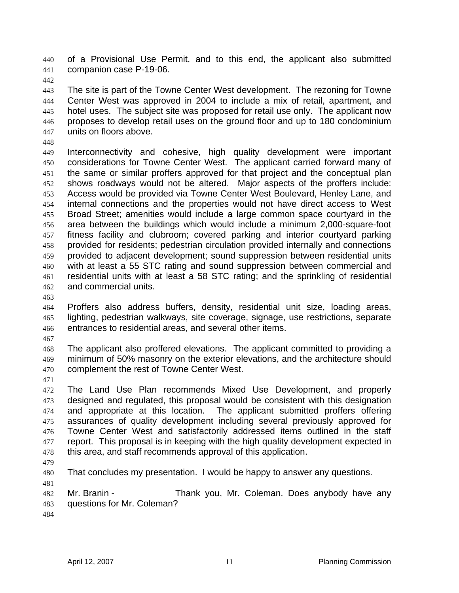of a Provisional Use Permit, and to this end, the applicant also submitted companion case P-19-06.

The site is part of the Towne Center West development. The rezoning for Towne Center West was approved in 2004 to include a mix of retail, apartment, and hotel uses. The subject site was proposed for retail use only. The applicant now proposes to develop retail uses on the ground floor and up to 180 condominium units on floors above.

Interconnectivity and cohesive, high quality development were important considerations for Towne Center West. The applicant carried forward many of the same or similar proffers approved for that project and the conceptual plan shows roadways would not be altered. Major aspects of the proffers include: Access would be provided via Towne Center West Boulevard, Henley Lane, and internal connections and the properties would not have direct access to West Broad Street; amenities would include a large common space courtyard in the area between the buildings which would include a minimum 2,000-square-foot fitness facility and clubroom; covered parking and interior courtyard parking provided for residents; pedestrian circulation provided internally and connections provided to adjacent development; sound suppression between residential units with at least a 55 STC rating and sound suppression between commercial and residential units with at least a 58 STC rating; and the sprinkling of residential and commercial units.

Proffers also address buffers, density, residential unit size, loading areas, lighting, pedestrian walkways, site coverage, signage, use restrictions, separate entrances to residential areas, and several other items.

The applicant also proffered elevations. The applicant committed to providing a minimum of 50% masonry on the exterior elevations, and the architecture should complement the rest of Towne Center West.

The Land Use Plan recommends Mixed Use Development, and properly designed and regulated, this proposal would be consistent with this designation and appropriate at this location. The applicant submitted proffers offering assurances of quality development including several previously approved for Towne Center West and satisfactorily addressed items outlined in the staff 477 report. This proposal is in keeping with the high quality development expected in this area, and staff recommends approval of this application.

That concludes my presentation. I would be happy to answer any questions.

Mr. Branin - Thank you, Mr. Coleman. Does anybody have any questions for Mr. Coleman?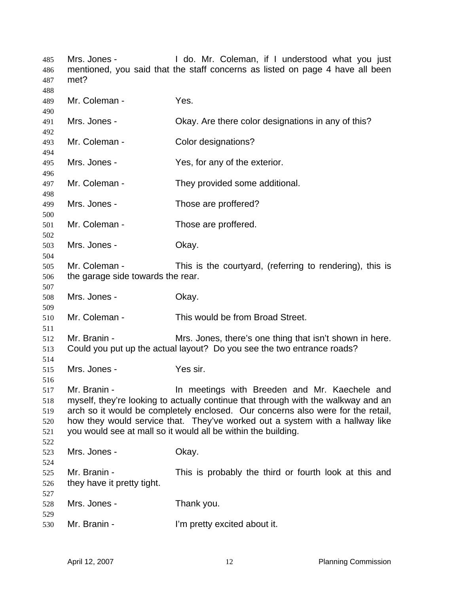| 485<br>486<br>487               | Mrs. Jones -<br>met?                                                                                                                                                                                                                                                                                                                                                                   | I do. Mr. Coleman, if I understood what you just<br>mentioned, you said that the staff concerns as listed on page 4 have all been |
|---------------------------------|----------------------------------------------------------------------------------------------------------------------------------------------------------------------------------------------------------------------------------------------------------------------------------------------------------------------------------------------------------------------------------------|-----------------------------------------------------------------------------------------------------------------------------------|
| 488<br>489<br>490               | Mr. Coleman -                                                                                                                                                                                                                                                                                                                                                                          | Yes.                                                                                                                              |
| 491<br>492                      | Mrs. Jones -                                                                                                                                                                                                                                                                                                                                                                           | Okay. Are there color designations in any of this?                                                                                |
| 493<br>494                      | Mr. Coleman -                                                                                                                                                                                                                                                                                                                                                                          | Color designations?                                                                                                               |
| 495<br>496                      | Mrs. Jones -                                                                                                                                                                                                                                                                                                                                                                           | Yes, for any of the exterior.                                                                                                     |
| 497<br>498                      | Mr. Coleman -                                                                                                                                                                                                                                                                                                                                                                          | They provided some additional.                                                                                                    |
| 499<br>500                      | Mrs. Jones -                                                                                                                                                                                                                                                                                                                                                                           | Those are proffered?                                                                                                              |
| 501<br>502                      | Mr. Coleman -                                                                                                                                                                                                                                                                                                                                                                          | Those are proffered.                                                                                                              |
| 503<br>504                      | Mrs. Jones -                                                                                                                                                                                                                                                                                                                                                                           | Okay.                                                                                                                             |
| 505<br>506                      | Mr. Coleman -<br>This is the courtyard, (referring to rendering), this is<br>the garage side towards the rear.                                                                                                                                                                                                                                                                         |                                                                                                                                   |
| 507<br>508<br>509               | Mrs. Jones -                                                                                                                                                                                                                                                                                                                                                                           | Okay.                                                                                                                             |
| 510<br>511                      | Mr. Coleman -                                                                                                                                                                                                                                                                                                                                                                          | This would be from Broad Street.                                                                                                  |
| 512<br>513<br>514               | Mr. Branin -<br>Mrs. Jones, there's one thing that isn't shown in here.<br>Could you put up the actual layout? Do you see the two entrance roads?                                                                                                                                                                                                                                      |                                                                                                                                   |
| 515<br>516                      | Mrs. Jones -                                                                                                                                                                                                                                                                                                                                                                           | Yes sir.                                                                                                                          |
| 517<br>518<br>519<br>520<br>521 | Mr. Branin -<br>In meetings with Breeden and Mr. Kaechele and<br>myself, they're looking to actually continue that through with the walkway and an<br>arch so it would be completely enclosed. Our concerns also were for the retail,<br>how they would service that. They've worked out a system with a hallway like<br>you would see at mall so it would all be within the building. |                                                                                                                                   |
| 522<br>523<br>524               | Mrs. Jones -                                                                                                                                                                                                                                                                                                                                                                           | Okay.                                                                                                                             |
| 525<br>526<br>527               | Mr. Branin -<br>they have it pretty tight.                                                                                                                                                                                                                                                                                                                                             | This is probably the third or fourth look at this and                                                                             |
| 528<br>529                      | Mrs. Jones -                                                                                                                                                                                                                                                                                                                                                                           | Thank you.                                                                                                                        |
| 530                             | Mr. Branin -                                                                                                                                                                                                                                                                                                                                                                           | I'm pretty excited about it.                                                                                                      |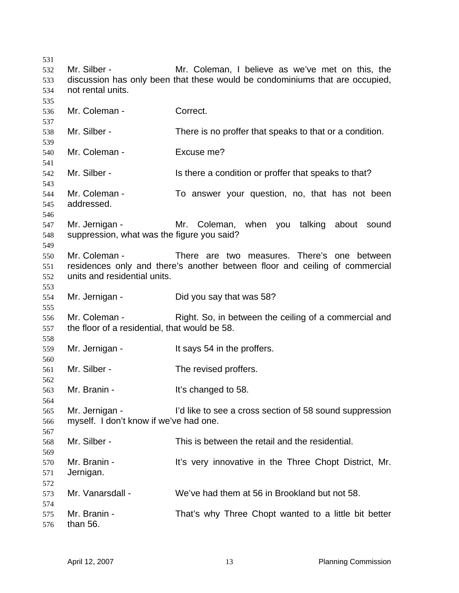Mr. Silber - Mr. Coleman, I believe as we've met on this, the discussion has only been that these would be condominiums that are occupied, not rental units. Mr. Coleman - Correct. Mr. Silber - There is no proffer that speaks to that or a condition. Mr. Coleman - Excuse me? 542 Mr. Silber - Is there a condition or proffer that speaks to that? Mr. Coleman - To answer your question, no, that has not been addressed. Mr. Jernigan - Mr. Coleman, when you talking about sound suppression, what was the figure you said? Mr. Coleman - There are two measures. There's one between residences only and there's another between floor and ceiling of commercial units and residential units. Mr. Jernigan - Did you say that was 58? Mr. Coleman - Right. So, in between the ceiling of a commercial and the floor of a residential, that would be 58. Mr. Jernigan - It says 54 in the proffers. Mr. Silber - The revised proffers. Mr. Branin - It's changed to 58. Mr. Jernigan - I'd like to see a cross section of 58 sound suppression myself. I don't know if we've had one. Mr. Silber - This is between the retail and the residential. Mr. Branin - It's very innovative in the Three Chopt District, Mr. Jernigan. Mr. Vanarsdall - We've had them at 56 in Brookland but not 58. Mr. Branin - That's why Three Chopt wanted to a little bit better than 56.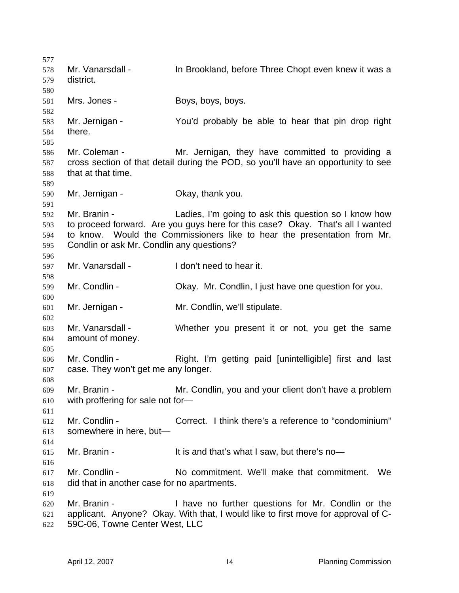578 Mr. Vanarsdall - In Brookland, before Three Chopt even knew it was a district. Mrs. Jones - Boys, boys, boys. Mr. Jernigan - You'd probably be able to hear that pin drop right there. Mr. Coleman - Mr. Jernigan, they have committed to providing a cross section of that detail during the POD, so you'll have an opportunity to see that at that time. Mr. Jernigan - Okay, thank you. Mr. Branin - Ladies, I'm going to ask this question so I know how to proceed forward. Are you guys here for this case? Okay. That's all I wanted to know. Would the Commissioners like to hear the presentation from Mr. Condlin or ask Mr. Condlin any questions? Mr. Vanarsdall - I don't need to hear it. Mr. Condlin - Okay. Mr. Condlin, I just have one question for you. Mr. Jernigan - Mr. Condlin, we'll stipulate. Mr. Vanarsdall - Whether you present it or not, you get the same amount of money. Mr. Condlin - Right. I'm getting paid [unintelligible] first and last case. They won't get me any longer. Mr. Branin - Mr. Condlin, you and your client don't have a problem with proffering for sale not for— Mr. Condlin - Correct. I think there's a reference to "condominium" somewhere in here, but— Mr. Branin - It is and that's what I saw, but there's no— Mr. Condlin - No commitment. We'll make that commitment. We did that in another case for no apartments. Mr. Branin - I have no further questions for Mr. Condlin or the applicant. Anyone? Okay. With that, I would like to first move for approval of C-59C-06, Towne Center West, LLC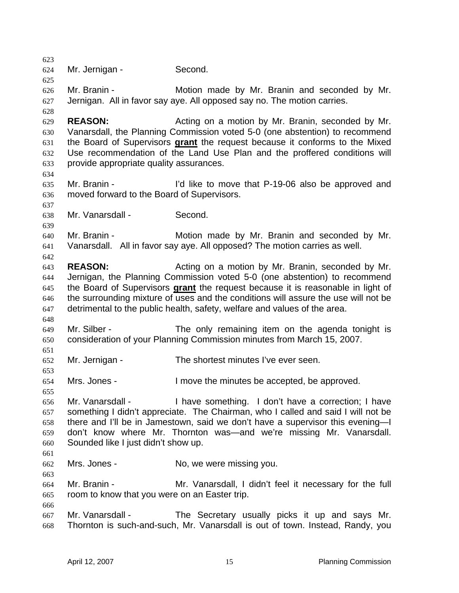Mr. Jernigan - Second. Mr. Branin - Motion made by Mr. Branin and seconded by Mr. Jernigan. All in favor say aye. All opposed say no. The motion carries. **REASON:** Acting on a motion by Mr. Branin, seconded by Mr. Vanarsdall, the Planning Commission voted 5-0 (one abstention) to recommend the Board of Supervisors **grant** the request because it conforms to the Mixed Use recommendation of the Land Use Plan and the proffered conditions will provide appropriate quality assurances. Mr. Branin - I'd like to move that P-19-06 also be approved and moved forward to the Board of Supervisors. Mr. Vanarsdall - Second. Mr. Branin - Motion made by Mr. Branin and seconded by Mr. Vanarsdall. All in favor say aye. All opposed? The motion carries as well. **REASON:** Acting on a motion by Mr. Branin, seconded by Mr. Jernigan, the Planning Commission voted 5-0 (one abstention) to recommend the Board of Supervisors **grant** the request because it is reasonable in light of the surrounding mixture of uses and the conditions will assure the use will not be detrimental to the public health, safety, welfare and values of the area. Mr. Silber - The only remaining item on the agenda tonight is consideration of your Planning Commission minutes from March 15, 2007. Mr. Jernigan - The shortest minutes I've ever seen. Mrs. Jones - I move the minutes be accepted, be approved. Mr. Vanarsdall - I have something. I don't have a correction; I have something I didn't appreciate. The Chairman, who I called and said I will not be there and I'll be in Jamestown, said we don't have a supervisor this evening—I don't know where Mr. Thornton was—and we're missing Mr. Vanarsdall. Sounded like I just didn't show up. Mrs. Jones - No, we were missing you. Mr. Branin - Mr. Vanarsdall, I didn't feel it necessary for the full room to know that you were on an Easter trip. Mr. Vanarsdall - The Secretary usually picks it up and says Mr. Thornton is such-and-such, Mr. Vanarsdall is out of town. Instead, Randy, you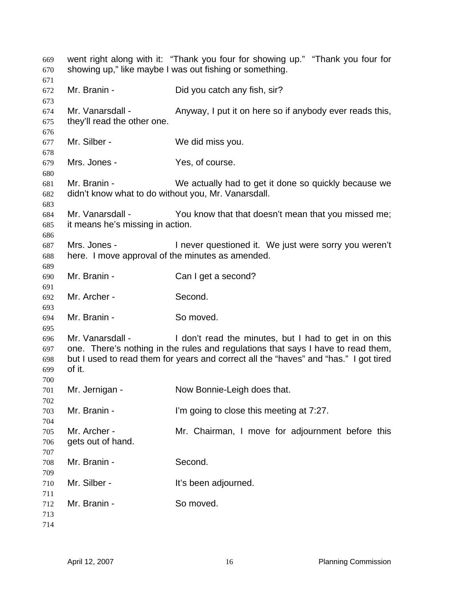| 669<br>670<br>671               | went right along with it: "Thank you four for showing up." "Thank you four for<br>showing up," like maybe I was out fishing or something.                                                                                                                       |                                                         |  |
|---------------------------------|-----------------------------------------------------------------------------------------------------------------------------------------------------------------------------------------------------------------------------------------------------------------|---------------------------------------------------------|--|
| 672<br>673                      | Mr. Branin -                                                                                                                                                                                                                                                    | Did you catch any fish, sir?                            |  |
| 674<br>675<br>676               | Mr. Vanarsdall -<br>they'll read the other one.                                                                                                                                                                                                                 | Anyway, I put it on here so if anybody ever reads this, |  |
| 677<br>678                      | Mr. Silber -                                                                                                                                                                                                                                                    | We did miss you.                                        |  |
| 679<br>680                      | Mrs. Jones -                                                                                                                                                                                                                                                    | Yes, of course.                                         |  |
| 681<br>682<br>683               | Mr. Branin -<br>didn't know what to do without you, Mr. Vanarsdall.                                                                                                                                                                                             | We actually had to get it done so quickly because we    |  |
| 684<br>685<br>686               | Mr. Vanarsdall -<br>it means he's missing in action.                                                                                                                                                                                                            | You know that that doesn't mean that you missed me;     |  |
| 687<br>688<br>689               | Mrs. Jones -<br>I never questioned it. We just were sorry you weren't<br>here. I move approval of the minutes as amended.                                                                                                                                       |                                                         |  |
| 690<br>691                      | Mr. Branin -                                                                                                                                                                                                                                                    | Can I get a second?                                     |  |
| 692<br>693                      | Mr. Archer -                                                                                                                                                                                                                                                    | Second.                                                 |  |
| 694<br>695                      | Mr. Branin -                                                                                                                                                                                                                                                    | So moved.                                               |  |
| 696<br>697<br>698<br>699<br>700 | Mr. Vanarsdall -<br>I don't read the minutes, but I had to get in on this<br>one. There's nothing in the rules and regulations that says I have to read them,<br>but I used to read them for years and correct all the "haves" and "has." I got tired<br>of it. |                                                         |  |
| 701<br>702                      | Mr. Jernigan -                                                                                                                                                                                                                                                  | Now Bonnie-Leigh does that.                             |  |
| 703<br>704                      | Mr. Branin -                                                                                                                                                                                                                                                    | I'm going to close this meeting at 7:27.                |  |
| 705<br>706<br>707               | Mr. Archer -<br>gets out of hand.                                                                                                                                                                                                                               | Mr. Chairman, I move for adjournment before this        |  |
| 708<br>709                      | Mr. Branin -                                                                                                                                                                                                                                                    | Second.                                                 |  |
| 710<br>711                      | Mr. Silber -                                                                                                                                                                                                                                                    | It's been adjourned.                                    |  |
| 712<br>713<br>714               | Mr. Branin -                                                                                                                                                                                                                                                    | So moved.                                               |  |